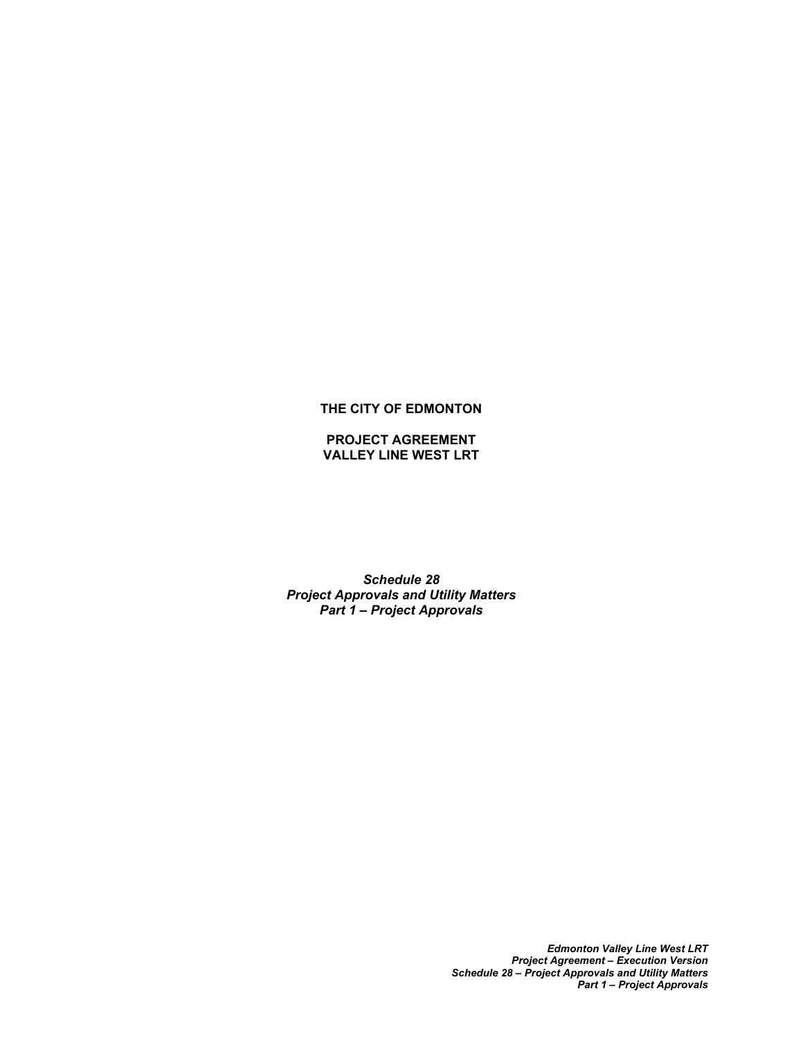### **THE CITY OF EDMONTON**

### **PROJECT AGREEMENT VALLEY LINE WEST LRT**

*Schedule 28 Project Approvals and Utility Matters Part 1 – Project Approvals*

> *Edmonton Valley Line West LRT Project Agreement – Execution Version Schedule 28 – Project Approvals and Utility Matters Part 1 – Project Approvals*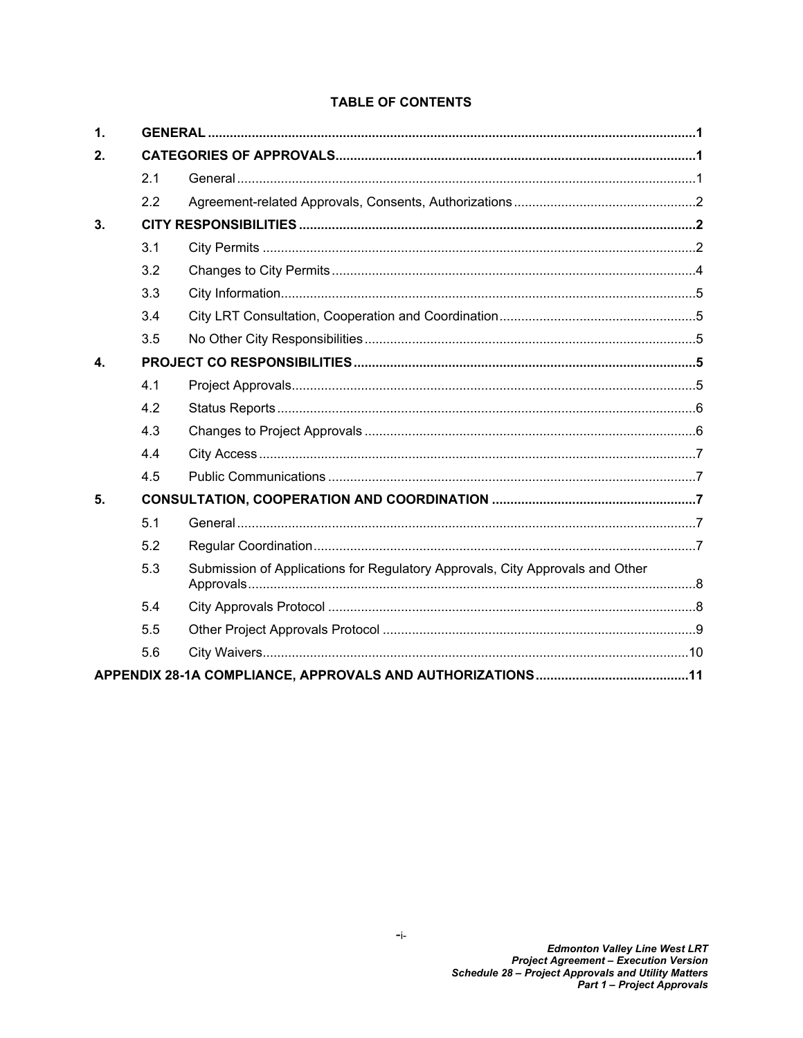# **TABLE OF CONTENTS**

| $\mathbf{1}$ . |     |                                                                               |  |
|----------------|-----|-------------------------------------------------------------------------------|--|
| 2.             |     |                                                                               |  |
|                | 2.1 |                                                                               |  |
|                | 2.2 |                                                                               |  |
| 3.             |     |                                                                               |  |
|                | 3.1 |                                                                               |  |
|                | 3.2 |                                                                               |  |
|                | 3.3 |                                                                               |  |
|                | 3.4 |                                                                               |  |
|                | 3.5 |                                                                               |  |
| $\mathbf{A}$   |     |                                                                               |  |
|                | 4.1 |                                                                               |  |
|                | 4.2 |                                                                               |  |
|                | 4.3 |                                                                               |  |
|                | 4.4 |                                                                               |  |
|                | 4.5 |                                                                               |  |
| 5.             |     |                                                                               |  |
|                | 5.1 |                                                                               |  |
|                | 5.2 |                                                                               |  |
|                | 5.3 | Submission of Applications for Regulatory Approvals, City Approvals and Other |  |
|                | 5.4 |                                                                               |  |
|                | 5.5 |                                                                               |  |
|                | 5.6 |                                                                               |  |
|                |     |                                                                               |  |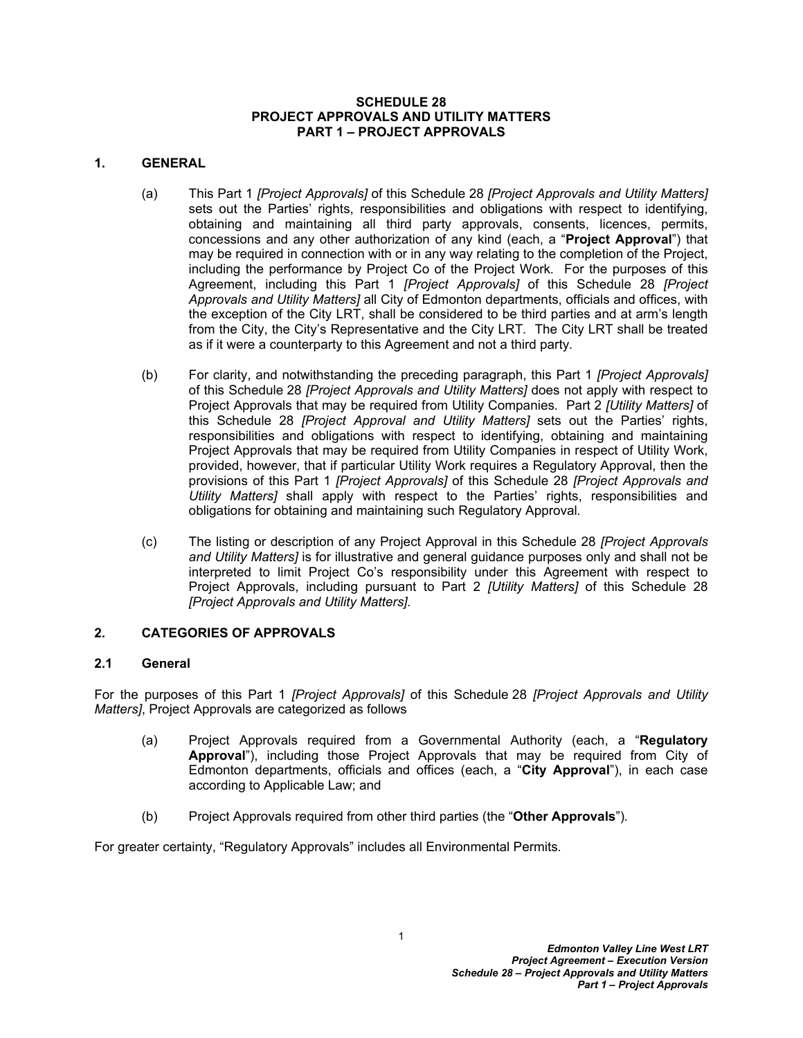#### **SCHEDULE 28 PROJECT APPROVALS AND UTILITY MATTERS PART 1** *–* **PROJECT APPROVALS**

### <span id="page-2-0"></span>**1. GENERAL**

- (a) This Part 1 *[Project Approvals]* of this Schedule 28 *[Project Approvals and Utility Matters]* sets out the Parties' rights, responsibilities and obligations with respect to identifying, obtaining and maintaining all third party approvals, consents, licences, permits, concessions and any other authorization of any kind (each, a "**Project Approval**") that may be required in connection with or in any way relating to the completion of the Project, including the performance by Project Co of the Project Work*.* For the purposes of this Agreement, including this Part 1 *[Project Approvals]* of this Schedule 28 *[Project Approvals and Utility Matters]* all City of Edmonton departments, officials and offices, with the exception of the City LRT, shall be considered to be third parties and at arm's length from the City, the City's Representative and the City LRT*.* The City LRT shall be treated as if it were a counterparty to this Agreement and not a third party*.*
- (b) For clarity, and notwithstanding the preceding paragraph, this Part 1 *[Project Approvals]* of this Schedule 28 *[Project Approvals and Utility Matters]* does not apply with respect to Project Approvals that may be required from Utility Companies*.* Part 2 *[Utility Matters]* of this Schedule 28 *[Project Approval and Utility Matters]* sets out the Parties' rights, responsibilities and obligations with respect to identifying, obtaining and maintaining Project Approvals that may be required from Utility Companies in respect of Utility Work, provided, however, that if particular Utility Work requires a Regulatory Approval, then the provisions of this Part 1 *[Project Approvals]* of this Schedule 28 *[Project Approvals and Utility Matters]* shall apply with respect to the Parties' rights, responsibilities and obligations for obtaining and maintaining such Regulatory Approval*.*
- (c) The listing or description of any Project Approval in this Schedule 28 *[Project Approvals and Utility Matters]* is for illustrative and general guidance purposes only and shall not be interpreted to limit Project Co's responsibility under this Agreement with respect to Project Approvals, including pursuant to Part 2 *[Utility Matters]* of this Schedule 28 *[Project Approvals and Utility Matters].*

#### <span id="page-2-1"></span>**2. CATEGORIES OF APPROVALS**

#### <span id="page-2-2"></span>**2.1 General**

For the purposes of this Part 1 *[Project Approvals]* of this Schedule 28 *[Project Approvals and Utility Matters]*, Project Approvals are categorized as follows

- (a) Project Approvals required from a Governmental Authority (each, a "**Regulatory Approval**"), including those Project Approvals that may be required from City of Edmonton departments, officials and offices (each, a "**City Approval**"), in each case according to Applicable Law; and
- (b) Project Approvals required from other third parties (the "**Other Approvals**")*.*

For greater certainty, "Regulatory Approvals" includes all Environmental Permits*.*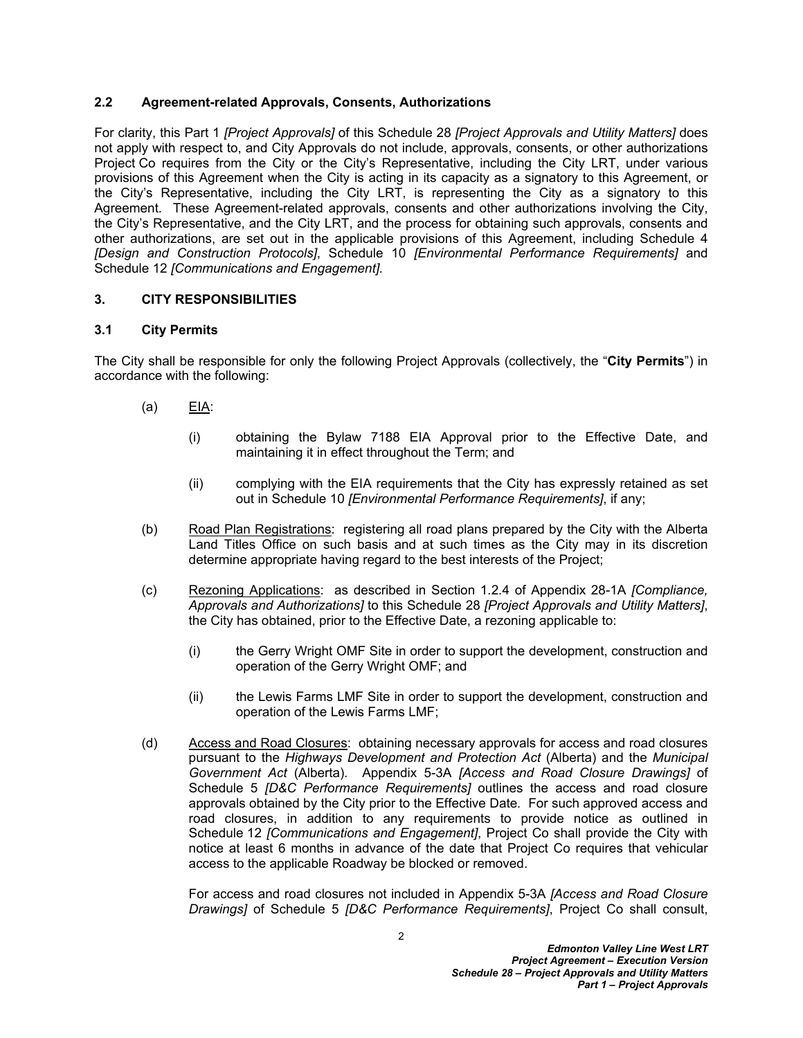### <span id="page-3-0"></span>**2.2 Agreement-related Approvals, Consents, Authorizations**

For clarity, this Part 1 *[Project Approvals]* of this Schedule 28 *[Project Approvals and Utility Matters]* does not apply with respect to, and City Approvals do not include, approvals, consents, or other authorizations Project Co requires from the City or the City's Representative, including the City LRT, under various provisions of this Agreement when the City is acting in its capacity as a signatory to this Agreement, or the City's Representative, including the City LRT, is representing the City as a signatory to this Agreement*.* These Agreement-related approvals, consents and other authorizations involving the City, the City's Representative, and the City LRT, and the process for obtaining such approvals, consents and other authorizations, are set out in the applicable provisions of this Agreement, including Schedule 4 *[Design and Construction Protocols]*, Schedule 10 *[Environmental Performance Requirements]* and Schedule 12 *[Communications and Engagement].*

### <span id="page-3-1"></span>**3. CITY RESPONSIBILITIES**

### <span id="page-3-2"></span>**3.1 City Permits**

The City shall be responsible for only the following Project Approvals (collectively, the "**City Permits**") in accordance with the following:

- (a) EIA:
	- (i) obtaining the Bylaw 7188 EIA Approval prior to the Effective Date, and maintaining it in effect throughout the Term; and
	- (ii) complying with the EIA requirements that the City has expressly retained as set out in Schedule 10 *[Environmental Performance Requirements]*, if any;
- (b) Road Plan Registrations: registering all road plans prepared by the City with the Alberta Land Titles Office on such basis and at such times as the City may in its discretion determine appropriate having regard to the best interests of the Project;
- (c) Rezoning Applications: as described in Section 1*.*2*.*4 of Appendix 28-1A *[Compliance, Approvals and Authorizations]* to this Schedule 28 *[Project Approvals and Utility Matters]*, the City has obtained, prior to the Effective Date, a rezoning applicable to:
	- (i) the Gerry Wright OMF Site in order to support the development, construction and operation of the Gerry Wright OMF; and
	- (ii) the Lewis Farms LMF Site in order to support the development, construction and operation of the Lewis Farms LMF;
- (d) Access and Road Closures: obtaining necessary approvals for access and road closures pursuant to the *Highways Development and Protection Act* (Alberta) and the *Municipal Government Act* (Alberta)*.* Appendix 5-3A *[Access and Road Closure Drawings]* of Schedule 5 *[D&C Performance Requirements]* outlines the access and road closure approvals obtained by the City prior to the Effective Date*.* For such approved access and road closures, in addition to any requirements to provide notice as outlined in Schedule 12 *[Communications and Engagement]*, Project Co shall provide the City with notice at least 6 months in advance of the date that Project Co requires that vehicular access to the applicable Roadway be blocked or removed.

For access and road closures not included in Appendix 5-3A *[Access and Road Closure Drawings]* of Schedule 5 *[D&C Performance Requirements]*, Project Co shall consult,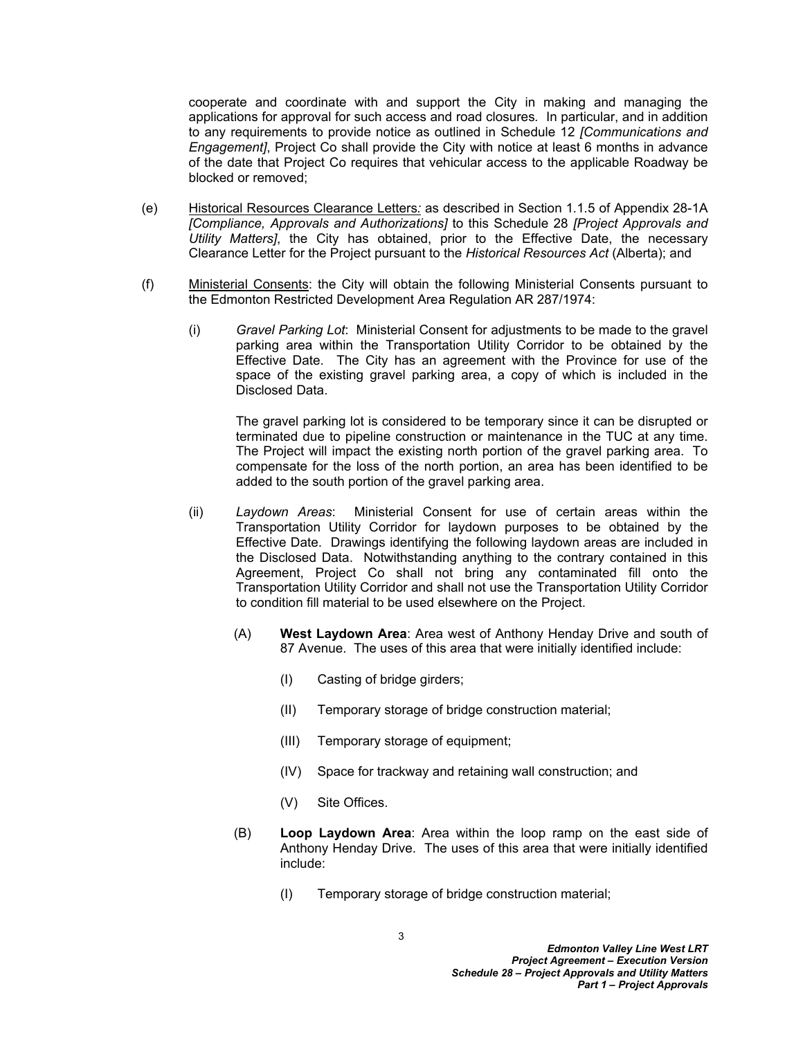cooperate and coordinate with and support the City in making and managing the applications for approval for such access and road closures*.* In particular, and in addition to any requirements to provide notice as outlined in Schedule 12 *[Communications and Engagement]*, Project Co shall provide the City with notice at least 6 months in advance of the date that Project Co requires that vehicular access to the applicable Roadway be blocked or removed;

- (e) Historical Resources Clearance Letters*:* as described in Section 1*.*1*.*5 of Appendix 28-1A *[Compliance, Approvals and Authorizations]* to this Schedule 28 *[Project Approvals and Utility Matters]*, the City has obtained, prior to the Effective Date, the necessary Clearance Letter for the Project pursuant to the *Historical Resources Act* (Alberta); and
- (f) Ministerial Consents: the City will obtain the following Ministerial Consents pursuant to the Edmonton Restricted Development Area Regulation AR 287/1974:
	- (i) *Gravel Parking Lot*: Ministerial Consent for adjustments to be made to the gravel parking area within the Transportation Utility Corridor to be obtained by the Effective Date. The City has an agreement with the Province for use of the space of the existing gravel parking area, a copy of which is included in the Disclosed Data.

The gravel parking lot is considered to be temporary since it can be disrupted or terminated due to pipeline construction or maintenance in the TUC at any time. The Project will impact the existing north portion of the gravel parking area. To compensate for the loss of the north portion, an area has been identified to be added to the south portion of the gravel parking area.

- (ii) *Laydown Areas*: Ministerial Consent for use of certain areas within the Transportation Utility Corridor for laydown purposes to be obtained by the Effective Date. Drawings identifying the following laydown areas are included in the Disclosed Data. Notwithstanding anything to the contrary contained in this Agreement, Project Co shall not bring any contaminated fill onto the Transportation Utility Corridor and shall not use the Transportation Utility Corridor to condition fill material to be used elsewhere on the Project.
	- (A) **West Laydown Area**: Area west of Anthony Henday Drive and south of 87 Avenue. The uses of this area that were initially identified include:
		- (I) Casting of bridge girders;
		- (II) Temporary storage of bridge construction material;
		- (III) Temporary storage of equipment;
		- (IV) Space for trackway and retaining wall construction; and
		- (V) Site Offices.
	- (B) **Loop Laydown Area**: Area within the loop ramp on the east side of Anthony Henday Drive. The uses of this area that were initially identified include:
		- (I) Temporary storage of bridge construction material;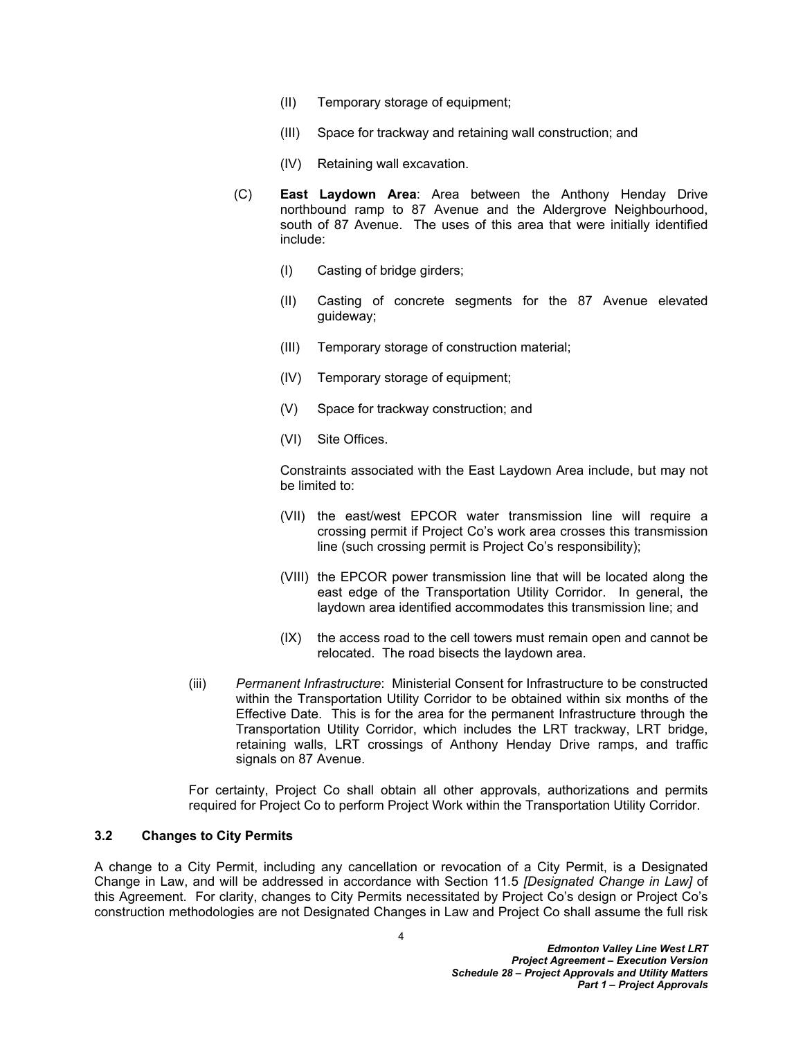- (II) Temporary storage of equipment;
- (III) Space for trackway and retaining wall construction; and
- (IV) Retaining wall excavation.
- (C) **East Laydown Area**: Area between the Anthony Henday Drive northbound ramp to 87 Avenue and the Aldergrove Neighbourhood, south of 87 Avenue. The uses of this area that were initially identified include:
	- (I) Casting of bridge girders;
	- (II) Casting of concrete segments for the 87 Avenue elevated guideway;
	- (III) Temporary storage of construction material;
	- (IV) Temporary storage of equipment;
	- (V) Space for trackway construction; and
	- (VI) Site Offices.

Constraints associated with the East Laydown Area include, but may not be limited to:

- (VII) the east/west EPCOR water transmission line will require a crossing permit if Project Co's work area crosses this transmission line (such crossing permit is Project Co's responsibility);
- (VIII) the EPCOR power transmission line that will be located along the east edge of the Transportation Utility Corridor. In general, the laydown area identified accommodates this transmission line; and
- (IX) the access road to the cell towers must remain open and cannot be relocated. The road bisects the laydown area.
- (iii) *Permanent Infrastructure*: Ministerial Consent for Infrastructure to be constructed within the Transportation Utility Corridor to be obtained within six months of the Effective Date. This is for the area for the permanent Infrastructure through the Transportation Utility Corridor, which includes the LRT trackway, LRT bridge, retaining walls, LRT crossings of Anthony Henday Drive ramps, and traffic signals on 87 Avenue.

For certainty, Project Co shall obtain all other approvals, authorizations and permits required for Project Co to perform Project Work within the Transportation Utility Corridor.

# <span id="page-5-0"></span>**3.2 Changes to City Permits**

A change to a City Permit, including any cancellation or revocation of a City Permit, is a Designated Change in Law, and will be addressed in accordance with Section 11*.*5 *[Designated Change in Law]* of this Agreement. For clarity, changes to City Permits necessitated by Project Co's design or Project Co's construction methodologies are not Designated Changes in Law and Project Co shall assume the full risk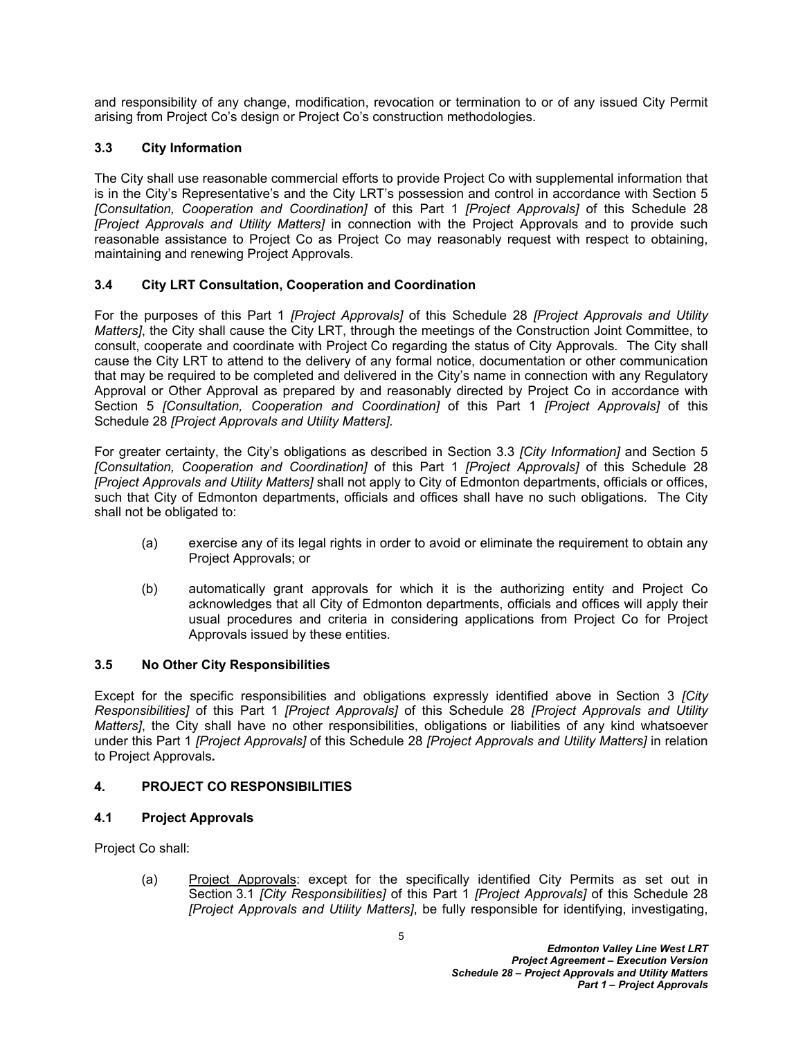and responsibility of any change, modification, revocation or termination to or of any issued City Permit arising from Project Co's design or Project Co's construction methodologies.

# <span id="page-6-0"></span>**3.3 City Information**

The City shall use reasonable commercial efforts to provide Project Co with supplemental information that is in the City's Representative's and the City LRT's possession and control in accordance with Section [5](#page-8-2)  *[Consultation, Cooperation and Coordination]* of this Part 1 *[Project Approvals]* of this Schedule 28 *[Project Approvals and Utility Matters]* in connection with the Project Approvals and to provide such reasonable assistance to Project Co as Project Co may reasonably request with respect to obtaining, maintaining and renewing Project Approvals*.*

# <span id="page-6-1"></span>**3.4 City LRT Consultation, Cooperation and Coordination**

For the purposes of this Part 1 *[Project Approvals]* of this Schedule 28 *[Project Approvals and Utility Matters]*, the City shall cause the City LRT, through the meetings of the Construction Joint Committee, to consult, cooperate and coordinate with Project Co regarding the status of City Approvals*.* The City shall cause the City LRT to attend to the delivery of any formal notice, documentation or other communication that may be required to be completed and delivered in the City's name in connection with any Regulatory Approval or Other Approval as prepared by and reasonably directed by Project Co in accordance with Section [5](#page-8-2) *[Consultation, Cooperation and Coordination]* of this Part 1 *[Project Approvals]* of this Schedule 28 *[Project Approvals and Utility Matters].*

For greater certainty, the City's obligations as described in Section [3.3](#page-6-0) *[City Information]* and Section [5](#page-8-2)  *[Consultation, Cooperation and Coordination]* of this Part 1 *[Project Approvals]* of this Schedule 28 *[Project Approvals and Utility Matters]* shall not apply to City of Edmonton departments, officials or offices, such that City of Edmonton departments, officials and offices shall have no such obligations*.* The City shall not be obligated to:

- (a) exercise any of its legal rights in order to avoid or eliminate the requirement to obtain any Project Approvals; or
- (b) automatically grant approvals for which it is the authorizing entity and Project Co acknowledges that all City of Edmonton departments, officials and offices will apply their usual procedures and criteria in considering applications from Project Co for Project Approvals issued by these entities*.*

# <span id="page-6-2"></span>**3.5 No Other City Responsibilities**

Except for the specific responsibilities and obligations expressly identified above in Section [3](#page-3-1) *[City Responsibilities]* of this Part 1 *[Project Approvals]* of this Schedule 28 *[Project Approvals and Utility Matters]*, the City shall have no other responsibilities, obligations or liabilities of any kind whatsoever under this Part 1 *[Project Approvals]* of this Schedule 28 *[Project Approvals and Utility Matters]* in relation to Project Approvals*.*

# <span id="page-6-3"></span>**4. PROJECT CO RESPONSIBILITIES**

# <span id="page-6-4"></span>**4.1 Project Approvals**

Project Co shall:

(a) Project Approvals: except for the specifically identified City Permits as set out in Section [3.1](#page-3-2) *[City Responsibilities]* of this Part 1 *[Project Approvals]* of this Schedule 28 *[Project Approvals and Utility Matters]*, be fully responsible for identifying, investigating,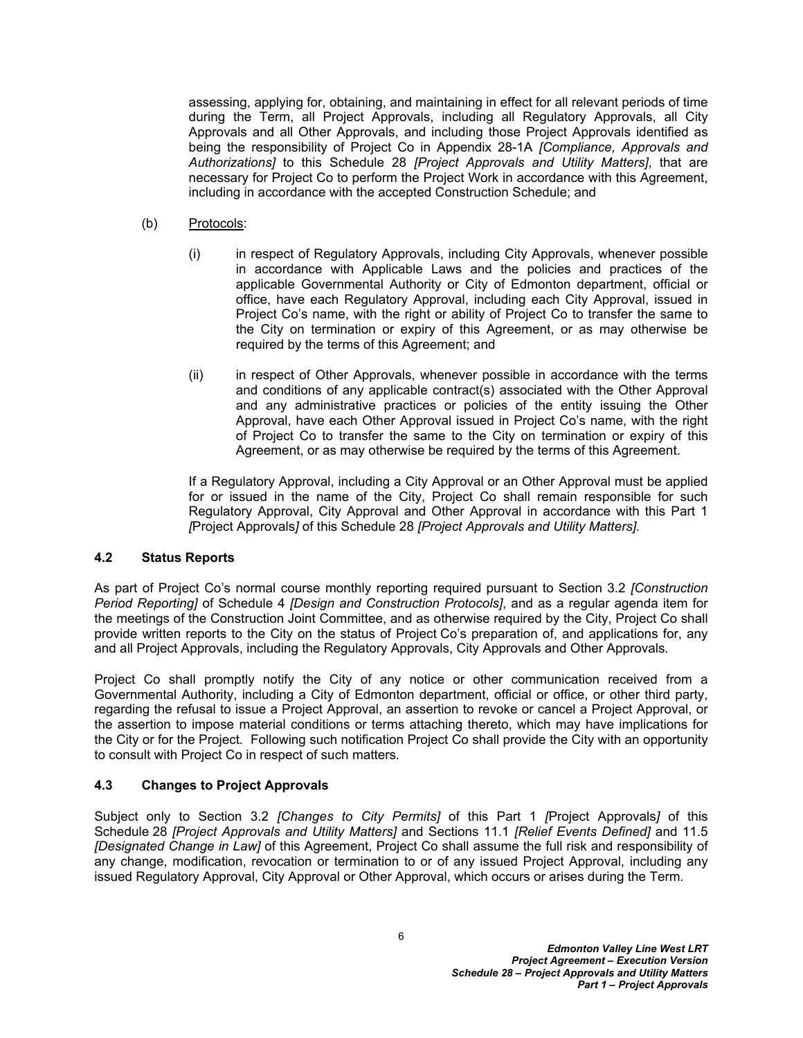assessing, applying for, obtaining, and maintaining in effect for all relevant periods of time during the Term, all Project Approvals, including all Regulatory Approvals, all City Approvals and all Other Approvals, and including those Project Approvals identified as being the responsibility of Project Co in Appendix 28-1A *[Compliance, Approvals and Authorizations]* to this Schedule 28 *[Project Approvals and Utility Matters]*, that are necessary for Project Co to perform the Project Work in accordance with this Agreement, including in accordance with the accepted Construction Schedule; and

- (b) Protocols:
	- (i) in respect of Regulatory Approvals, including City Approvals, whenever possible in accordance with Applicable Laws and the policies and practices of the applicable Governmental Authority or City of Edmonton department, official or office, have each Regulatory Approval, including each City Approval, issued in Project Co's name, with the right or ability of Project Co to transfer the same to the City on termination or expiry of this Agreement, or as may otherwise be required by the terms of this Agreement; and
	- (ii) in respect of Other Approvals, whenever possible in accordance with the terms and conditions of any applicable contract(s) associated with the Other Approval and any administrative practices or policies of the entity issuing the Other Approval, have each Other Approval issued in Project Co's name, with the right of Project Co to transfer the same to the City on termination or expiry of this Agreement, or as may otherwise be required by the terms of this Agreement.

If a Regulatory Approval, including a City Approval or an Other Approval must be applied for or issued in the name of the City, Project Co shall remain responsible for such Regulatory Approval, City Approval and Other Approval in accordance with this Part 1 *[*Project Approvals*]* of this Schedule 28 *[Project Approvals and Utility Matters].*

#### <span id="page-7-0"></span>**4.2 Status Reports**

As part of Project Co's normal course monthly reporting required pursuant to Section 3.2 *[Construction Period Reporting]* of Schedule 4 *[Design and Construction Protocols]*, and as a regular agenda item for the meetings of the Construction Joint Committee, and as otherwise required by the City, Project Co shall provide written reports to the City on the status of Project Co's preparation of, and applications for, any and all Project Approvals, including the Regulatory Approvals, City Approvals and Other Approvals*.*

Project Co shall promptly notify the City of any notice or other communication received from a Governmental Authority, including a City of Edmonton department, official or office, or other third party, regarding the refusal to issue a Project Approval, an assertion to revoke or cancel a Project Approval, or the assertion to impose material conditions or terms attaching thereto, which may have implications for the City or for the Project*.* Following such notification Project Co shall provide the City with an opportunity to consult with Project Co in respect of such matters*.*

# <span id="page-7-1"></span>**4.3 Changes to Project Approvals**

Subject only to Section [3.2](#page-5-0) *[Changes to City Permits]* of this Part 1 *[*Project Approvals*]* of this Schedule 28 *[Project Approvals and Utility Matters]* and Sections 11.1 *[Relief Events Defined]* and 11.5 *[Designated Change in Law]* of this Agreement, Project Co shall assume the full risk and responsibility of any change, modification, revocation or termination to or of any issued Project Approval, including any issued Regulatory Approval, City Approval or Other Approval, which occurs or arises during the Term*.*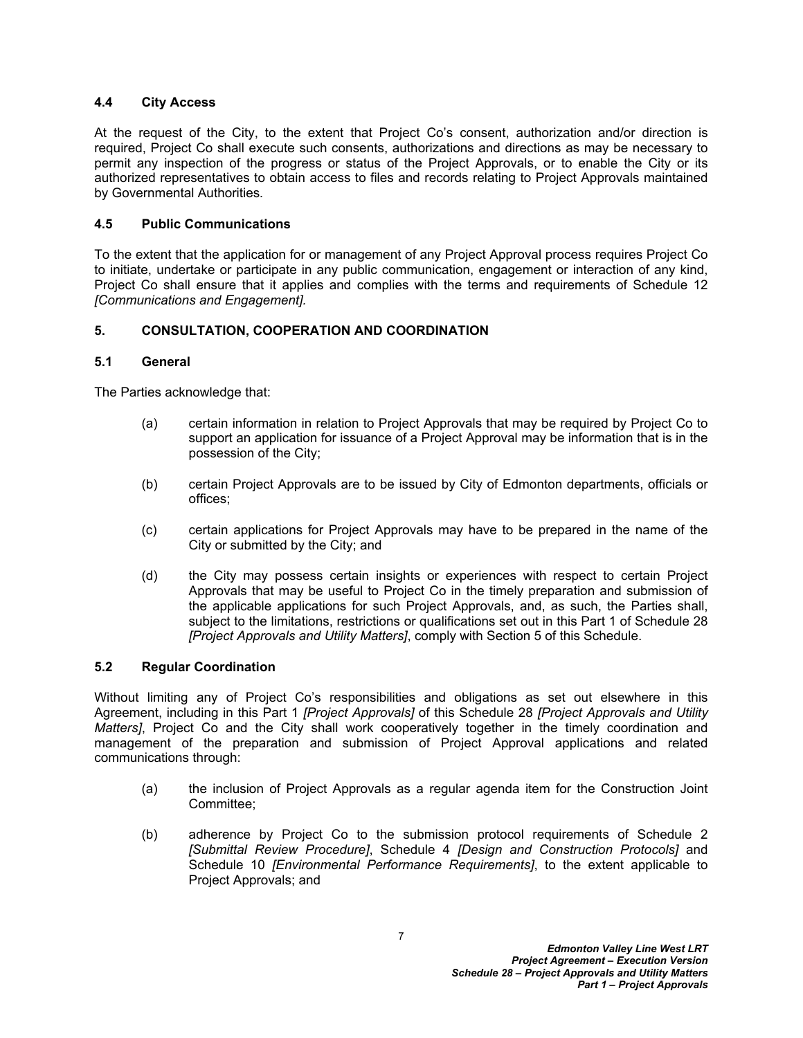### <span id="page-8-0"></span>**4.4 City Access**

At the request of the City, to the extent that Project Co's consent, authorization and/or direction is required, Project Co shall execute such consents, authorizations and directions as may be necessary to permit any inspection of the progress or status of the Project Approvals, or to enable the City or its authorized representatives to obtain access to files and records relating to Project Approvals maintained by Governmental Authorities*.*

### <span id="page-8-1"></span>**4.5 Public Communications**

To the extent that the application for or management of any Project Approval process requires Project Co to initiate, undertake or participate in any public communication, engagement or interaction of any kind, Project Co shall ensure that it applies and complies with the terms and requirements of Schedule 12 *[Communications and Engagement].*

### <span id="page-8-2"></span>**5. CONSULTATION, COOPERATION AND COORDINATION**

### <span id="page-8-3"></span>**5.1 General**

The Parties acknowledge that:

- (a) certain information in relation to Project Approvals that may be required by Project Co to support an application for issuance of a Project Approval may be information that is in the possession of the City;
- (b) certain Project Approvals are to be issued by City of Edmonton departments, officials or offices;
- (c) certain applications for Project Approvals may have to be prepared in the name of the City or submitted by the City; and
- (d) the City may possess certain insights or experiences with respect to certain Project Approvals that may be useful to Project Co in the timely preparation and submission of the applicable applications for such Project Approvals, and, as such, the Parties shall, subject to the limitations, restrictions or qualifications set out in this Part 1 of Schedule 28 *[Project Approvals and Utility Matters]*, comply with Section [5](#page-8-2) of this Schedule.

#### <span id="page-8-4"></span>**5.2 Regular Coordination**

Without limiting any of Project Co's responsibilities and obligations as set out elsewhere in this Agreement, including in this Part 1 *[Project Approvals]* of this Schedule 28 *[Project Approvals and Utility Matters]*, Project Co and the City shall work cooperatively together in the timely coordination and management of the preparation and submission of Project Approval applications and related communications through:

- (a) the inclusion of Project Approvals as a regular agenda item for the Construction Joint Committee;
- (b) adherence by Project Co to the submission protocol requirements of Schedule 2 *[Submittal Review Procedure]*, Schedule 4 *[Design and Construction Protocols]* and Schedule 10 *[Environmental Performance Requirements]*, to the extent applicable to Project Approvals; and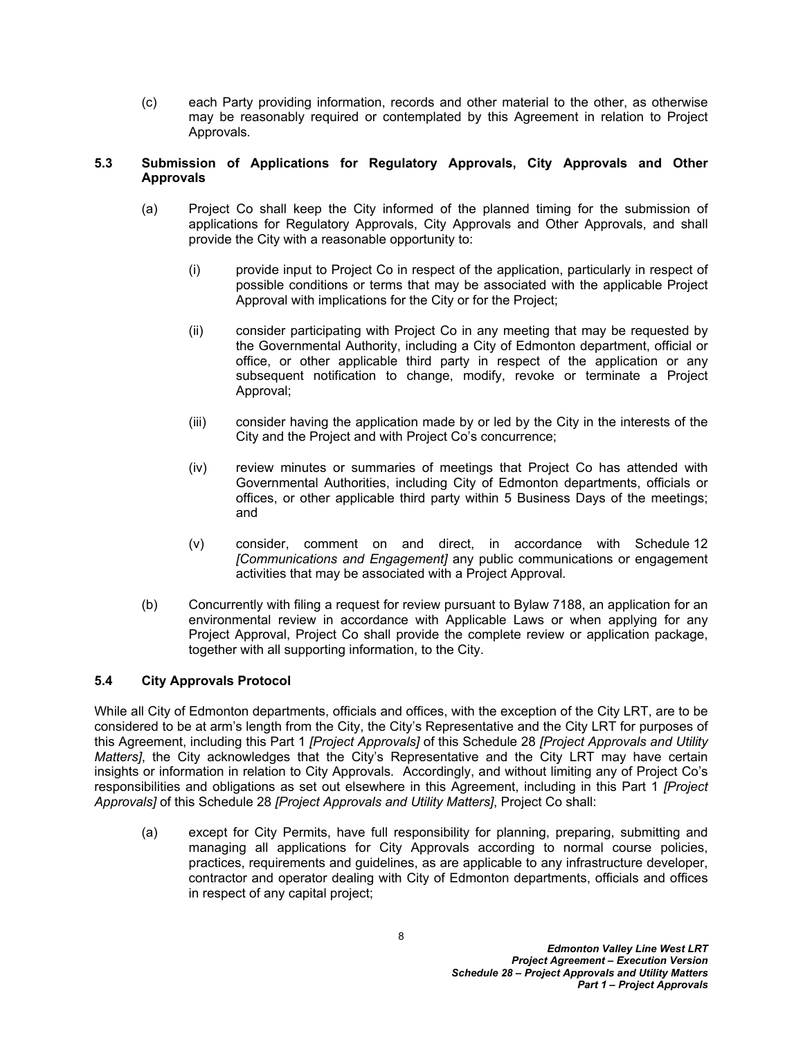(c) each Party providing information, records and other material to the other, as otherwise may be reasonably required or contemplated by this Agreement in relation to Project Approvals*.*

### <span id="page-9-0"></span>**5.3 Submission of Applications for Regulatory Approvals, City Approvals and Other Approvals**

- (a) Project Co shall keep the City informed of the planned timing for the submission of applications for Regulatory Approvals, City Approvals and Other Approvals, and shall provide the City with a reasonable opportunity to:
	- (i) provide input to Project Co in respect of the application, particularly in respect of possible conditions or terms that may be associated with the applicable Project Approval with implications for the City or for the Project;
	- (ii) consider participating with Project Co in any meeting that may be requested by the Governmental Authority, including a City of Edmonton department, official or office, or other applicable third party in respect of the application or any subsequent notification to change, modify, revoke or terminate a Project Approval;
	- (iii) consider having the application made by or led by the City in the interests of the City and the Project and with Project Co's concurrence;
	- (iv) review minutes or summaries of meetings that Project Co has attended with Governmental Authorities, including City of Edmonton departments, officials or offices, or other applicable third party within 5 Business Days of the meetings; and
	- (v) consider, comment on and direct, in accordance with Schedule 12 *[Communications and Engagement]* any public communications or engagement activities that may be associated with a Project Approval*.*
- (b) Concurrently with filing a request for review pursuant to Bylaw 7188, an application for an environmental review in accordance with Applicable Laws or when applying for any Project Approval, Project Co shall provide the complete review or application package, together with all supporting information, to the City.

# <span id="page-9-1"></span>**5.4 City Approvals Protocol**

While all City of Edmonton departments, officials and offices, with the exception of the City LRT, are to be considered to be at arm's length from the City, the City's Representative and the City LRT for purposes of this Agreement, including this Part 1 *[Project Approvals]* of this Schedule 28 *[Project Approvals and Utility Matters]*, the City acknowledges that the City's Representative and the City LRT may have certain insights or information in relation to City Approvals*.* Accordingly, and without limiting any of Project Co's responsibilities and obligations as set out elsewhere in this Agreement, including in this Part 1 *[Project Approvals]* of this Schedule 28 *[Project Approvals and Utility Matters]*, Project Co shall:

(a) except for City Permits, have full responsibility for planning, preparing, submitting and managing all applications for City Approvals according to normal course policies, practices, requirements and guidelines, as are applicable to any infrastructure developer, contractor and operator dealing with City of Edmonton departments, officials and offices in respect of any capital project;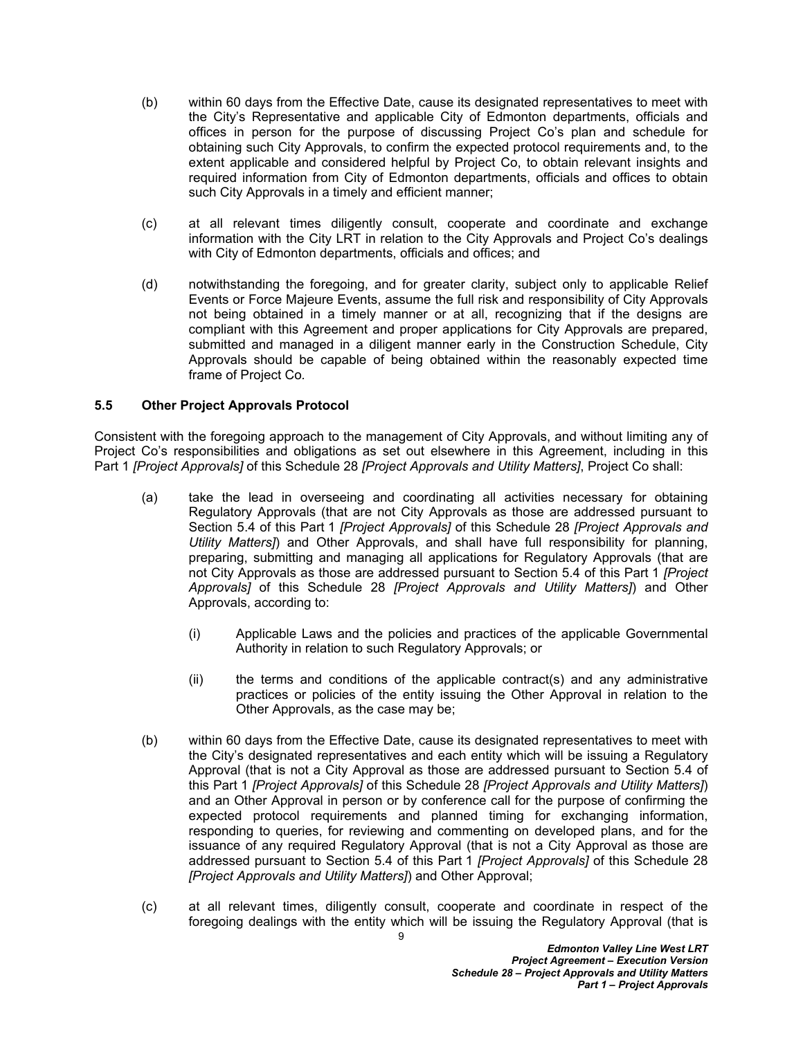- (b) within 60 days from the Effective Date, cause its designated representatives to meet with the City's Representative and applicable City of Edmonton departments, officials and offices in person for the purpose of discussing Project Co's plan and schedule for obtaining such City Approvals, to confirm the expected protocol requirements and, to the extent applicable and considered helpful by Project Co, to obtain relevant insights and required information from City of Edmonton departments, officials and offices to obtain such City Approvals in a timely and efficient manner;
- (c) at all relevant times diligently consult, cooperate and coordinate and exchange information with the City LRT in relation to the City Approvals and Project Co's dealings with City of Edmonton departments, officials and offices; and
- (d) notwithstanding the foregoing, and for greater clarity, subject only to applicable Relief Events or Force Majeure Events, assume the full risk and responsibility of City Approvals not being obtained in a timely manner or at all, recognizing that if the designs are compliant with this Agreement and proper applications for City Approvals are prepared, submitted and managed in a diligent manner early in the Construction Schedule, City Approvals should be capable of being obtained within the reasonably expected time frame of Project Co*.*

### <span id="page-10-0"></span>**5.5 Other Project Approvals Protocol**

Consistent with the foregoing approach to the management of City Approvals, and without limiting any of Project Co's responsibilities and obligations as set out elsewhere in this Agreement, including in this Part 1 *[Project Approvals]* of this Schedule 28 *[Project Approvals and Utility Matters]*, Project Co shall:

- (a) take the lead in overseeing and coordinating all activities necessary for obtaining Regulatory Approvals (that are not City Approvals as those are addressed pursuant to Section [5.4](#page-9-1) of this Part 1 *[Project Approvals]* of this Schedule 28 *[Project Approvals and Utility Matters]*) and Other Approvals, and shall have full responsibility for planning, preparing, submitting and managing all applications for Regulatory Approvals (that are not City Approvals as those are addressed pursuant to Section [5.4](#page-9-1) of this Part 1 *[Project Approvals]* of this Schedule 28 *[Project Approvals and Utility Matters]*) and Other Approvals, according to:
	- (i) Applicable Laws and the policies and practices of the applicable Governmental Authority in relation to such Regulatory Approvals; or
	- (ii) the terms and conditions of the applicable contract(s) and any administrative practices or policies of the entity issuing the Other Approval in relation to the Other Approvals, as the case may be;
- (b) within 60 days from the Effective Date, cause its designated representatives to meet with the City's designated representatives and each entity which will be issuing a Regulatory Approval (that is not a City Approval as those are addressed pursuant to Section [5.4](#page-9-1) of this Part 1 *[Project Approvals]* of this Schedule 28 *[Project Approvals and Utility Matters]*) and an Other Approval in person or by conference call for the purpose of confirming the expected protocol requirements and planned timing for exchanging information, responding to queries, for reviewing and commenting on developed plans, and for the issuance of any required Regulatory Approval (that is not a City Approval as those are addressed pursuant to Section [5.4](#page-9-1) of this Part 1 *[Project Approvals]* of this Schedule 28 *[Project Approvals and Utility Matters]*) and Other Approval;
- (c) at all relevant times, diligently consult, cooperate and coordinate in respect of the foregoing dealings with the entity which will be issuing the Regulatory Approval (that is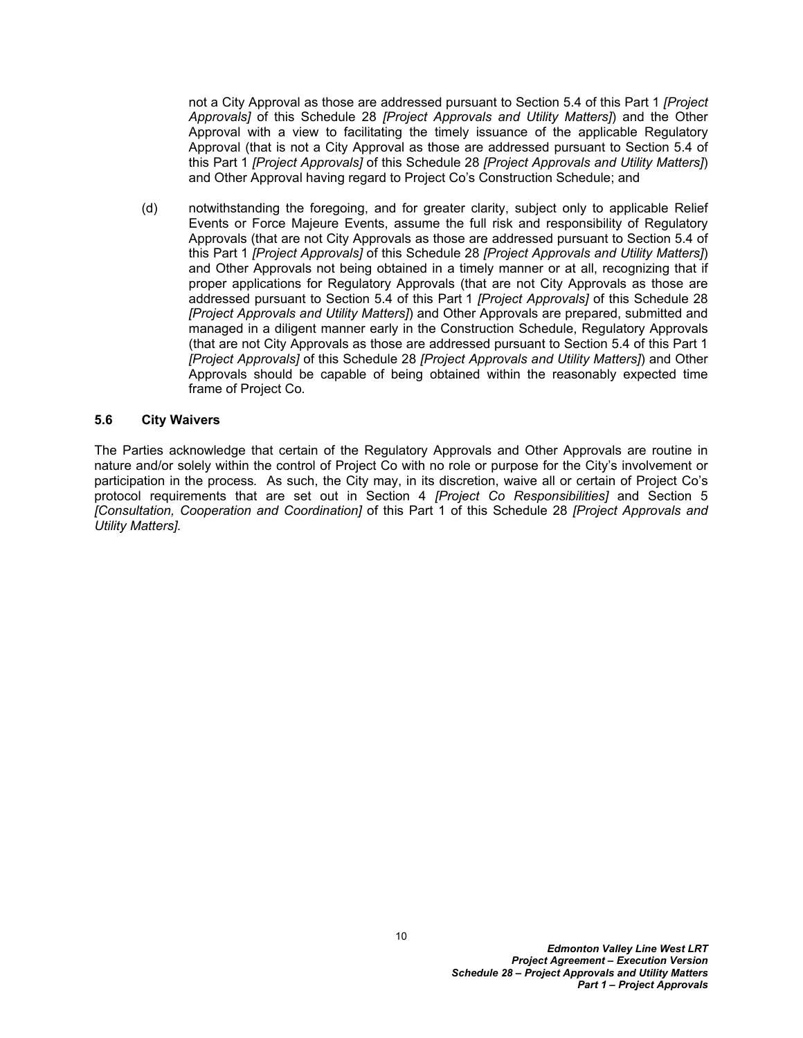not a City Approval as those are addressed pursuant to Section [5.4](#page-9-1) of this Part 1 *[Project Approvals]* of this Schedule 28 *[Project Approvals and Utility Matters]*) and the Other Approval with a view to facilitating the timely issuance of the applicable Regulatory Approval (that is not a City Approval as those are addressed pursuant to Section [5.4](#page-9-1) of this Part 1 *[Project Approvals]* of this Schedule 28 *[Project Approvals and Utility Matters]*) and Other Approval having regard to Project Co's Construction Schedule; and

(d) notwithstanding the foregoing, and for greater clarity, subject only to applicable Relief Events or Force Majeure Events, assume the full risk and responsibility of Regulatory Approvals (that are not City Approvals as those are addressed pursuant to Section [5.4](#page-9-1) of this Part 1 *[Project Approvals]* of this Schedule 28 *[Project Approvals and Utility Matters]*) and Other Approvals not being obtained in a timely manner or at all, recognizing that if proper applications for Regulatory Approvals (that are not City Approvals as those are addressed pursuant to Section [5.4](#page-9-1) of this Part 1 *[Project Approvals]* of this Schedule 28 *[Project Approvals and Utility Matters]*) and Other Approvals are prepared, submitted and managed in a diligent manner early in the Construction Schedule, Regulatory Approvals (that are not City Approvals as those are addressed pursuant to Section [5.4](#page-9-1) of this Part 1 *[Project Approvals]* of this Schedule 28 *[Project Approvals and Utility Matters]*) and Other Approvals should be capable of being obtained within the reasonably expected time frame of Project Co*.*

#### <span id="page-11-0"></span>**5.6 City Waivers**

The Parties acknowledge that certain of the Regulatory Approvals and Other Approvals are routine in nature and/or solely within the control of Project Co with no role or purpose for the City's involvement or participation in the process*.* As such, the City may, in its discretion, waive all or certain of Project Co's protocol requirements that are set out in Section [4](#page-6-3) *[Project Co Responsibilities]* and Section [5](#page-8-2)  *[Consultation, Cooperation and Coordination]* of this Part 1 of this Schedule 28 *[Project Approvals and Utility Matters].*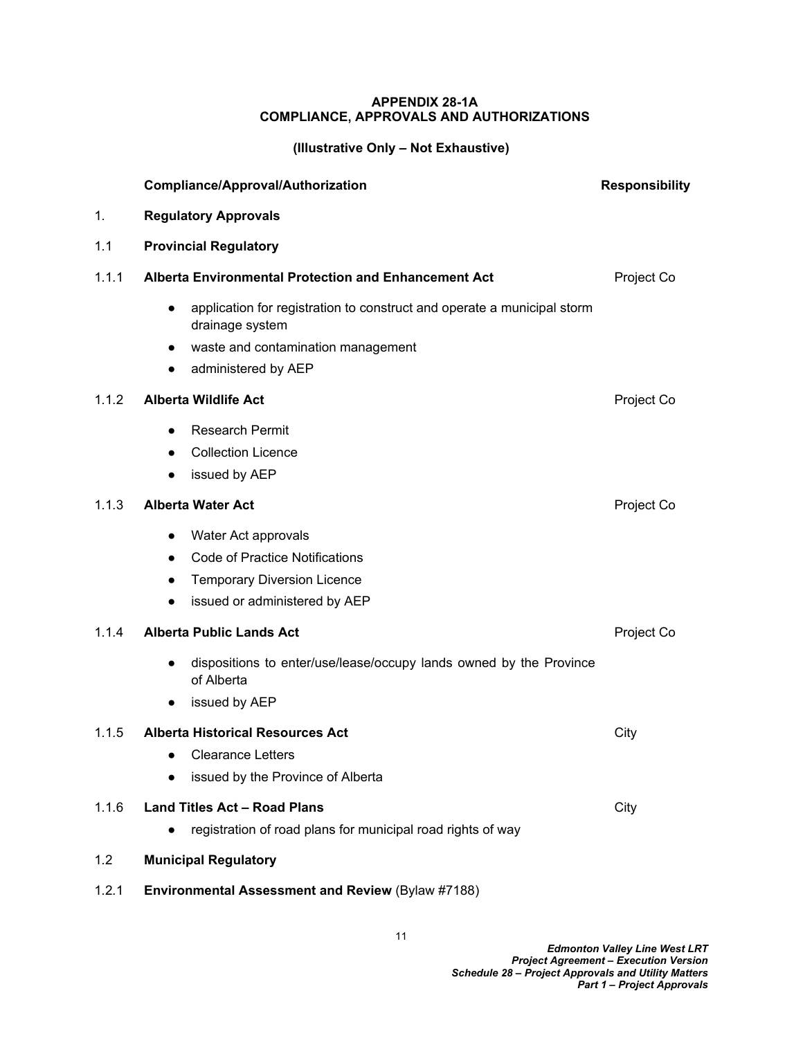### <span id="page-12-0"></span>**APPENDIX 28-1A COMPLIANCE, APPROVALS AND AUTHORIZATIONS**

# **(Illustrative Only – Not Exhaustive)**

|       | <b>Compliance/Approval/Authorization</b>                                                                                                                             | <b>Responsibility</b> |  |  |
|-------|----------------------------------------------------------------------------------------------------------------------------------------------------------------------|-----------------------|--|--|
| 1.    | <b>Regulatory Approvals</b>                                                                                                                                          |                       |  |  |
| 1.1   | <b>Provincial Regulatory</b>                                                                                                                                         |                       |  |  |
| 1.1.1 | Alberta Environmental Protection and Enhancement Act                                                                                                                 | Project Co            |  |  |
|       | application for registration to construct and operate a municipal storm<br>$\bullet$<br>drainage system<br>waste and contamination management<br>administered by AEP |                       |  |  |
| 1.1.2 | <b>Alberta Wildlife Act</b>                                                                                                                                          | Project Co            |  |  |
|       | <b>Research Permit</b><br><b>Collection Licence</b><br>issued by AEP<br>$\bullet$                                                                                    |                       |  |  |
| 1.1.3 | <b>Alberta Water Act</b>                                                                                                                                             | Project Co            |  |  |
|       | Water Act approvals<br>$\bullet$<br><b>Code of Practice Notifications</b><br><b>Temporary Diversion Licence</b><br>issued or administered by AEP                     |                       |  |  |
| 1.1.4 | <b>Alberta Public Lands Act</b>                                                                                                                                      | Project Co            |  |  |
|       | dispositions to enter/use/lease/occupy lands owned by the Province<br>$\bullet$<br>of Alberta<br>issued by AEP<br>$\bullet$                                          |                       |  |  |
| 1.1.5 | <b>Alberta Historical Resources Act</b><br>Clearance Letters<br>$\bullet$<br>issued by the Province of Alberta                                                       | City                  |  |  |
| 1.1.6 | <b>Land Titles Act - Road Plans</b><br>registration of road plans for municipal road rights of way                                                                   | City                  |  |  |
| 1.2   | <b>Municipal Regulatory</b>                                                                                                                                          |                       |  |  |
| 1.2.1 | Environmental Assessment and Review (Bylaw #7188)                                                                                                                    |                       |  |  |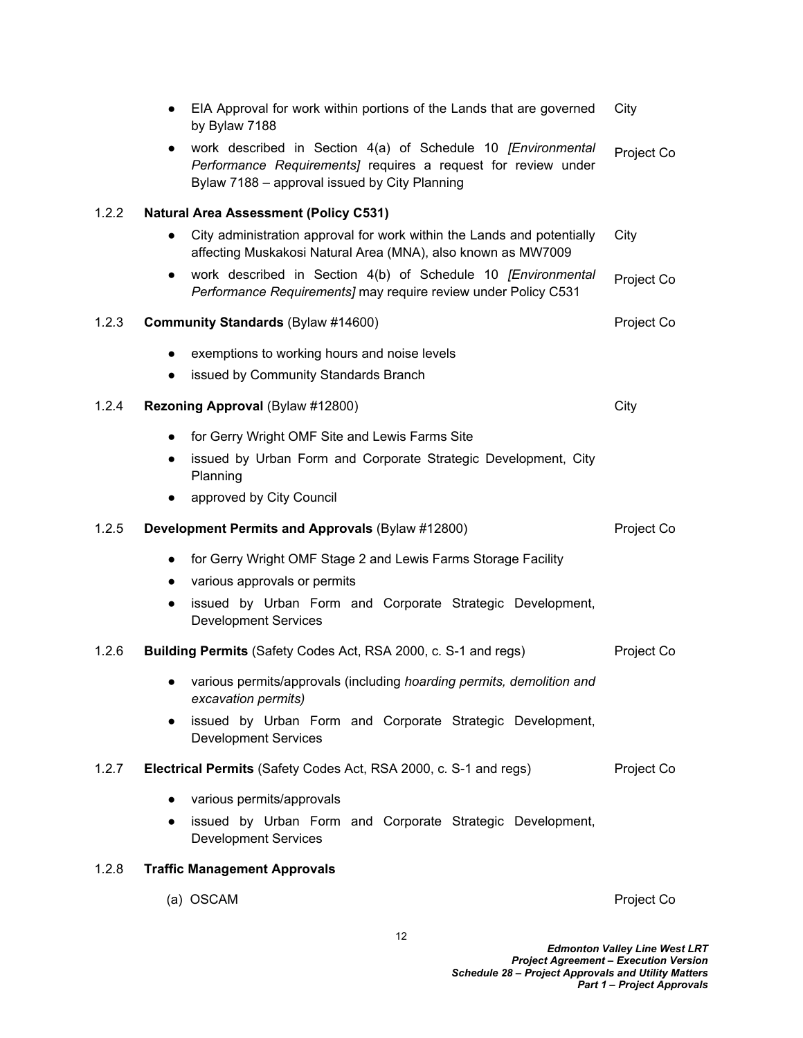|       | EIA Approval for work within portions of the Lands that are governed<br>by Bylaw 7188                                                                                          | City       |
|-------|--------------------------------------------------------------------------------------------------------------------------------------------------------------------------------|------------|
|       | work described in Section 4(a) of Schedule 10 [Environmental<br>Performance Requirements] requires a request for review under<br>Bylaw 7188 - approval issued by City Planning | Project Co |
| 1.2.2 | <b>Natural Area Assessment (Policy C531)</b>                                                                                                                                   |            |
|       | City administration approval for work within the Lands and potentially<br>$\bullet$<br>affecting Muskakosi Natural Area (MNA), also known as MW7009                            | City       |
|       | work described in Section 4(b) of Schedule 10 [Environmental<br>Performance Requirements] may require review under Policy C531                                                 | Project Co |
| 1.2.3 | <b>Community Standards (Bylaw #14600)</b>                                                                                                                                      | Project Co |
|       | exemptions to working hours and noise levels                                                                                                                                   |            |
|       | issued by Community Standards Branch                                                                                                                                           |            |
| 1.2.4 | Rezoning Approval (Bylaw #12800)                                                                                                                                               | City       |
|       | for Gerry Wright OMF Site and Lewis Farms Site<br>$\bullet$                                                                                                                    |            |
|       | issued by Urban Form and Corporate Strategic Development, City<br>Planning                                                                                                     |            |
|       | approved by City Council                                                                                                                                                       |            |
| 1.2.5 | Development Permits and Approvals (Bylaw #12800)                                                                                                                               | Project Co |
|       | for Gerry Wright OMF Stage 2 and Lewis Farms Storage Facility<br>$\bullet$<br>various approvals or permits<br>$\bullet$                                                        |            |
|       | issued by Urban Form and Corporate Strategic Development,<br>$\bullet$<br><b>Development Services</b>                                                                          |            |
| 1.2.6 | <b>Building Permits (Safety Codes Act, RSA 2000, c. S-1 and regs)</b>                                                                                                          | Project Co |
|       | • various permits/approvals (including hoarding permits, demolition and<br>excavation permits)                                                                                 |            |
|       | issued by Urban Form and Corporate Strategic Development,<br>$\bullet$<br><b>Development Services</b>                                                                          |            |
| 1.2.7 | Electrical Permits (Safety Codes Act, RSA 2000, c. S-1 and regs)                                                                                                               | Project Co |
|       | various permits/approvals<br>$\bullet$                                                                                                                                         |            |
|       | issued by Urban Form and Corporate Strategic Development,<br>$\bullet$<br><b>Development Services</b>                                                                          |            |
| 1.2.8 | <b>Traffic Management Approvals</b>                                                                                                                                            |            |
|       |                                                                                                                                                                                |            |

(a) OSCAM Project Co